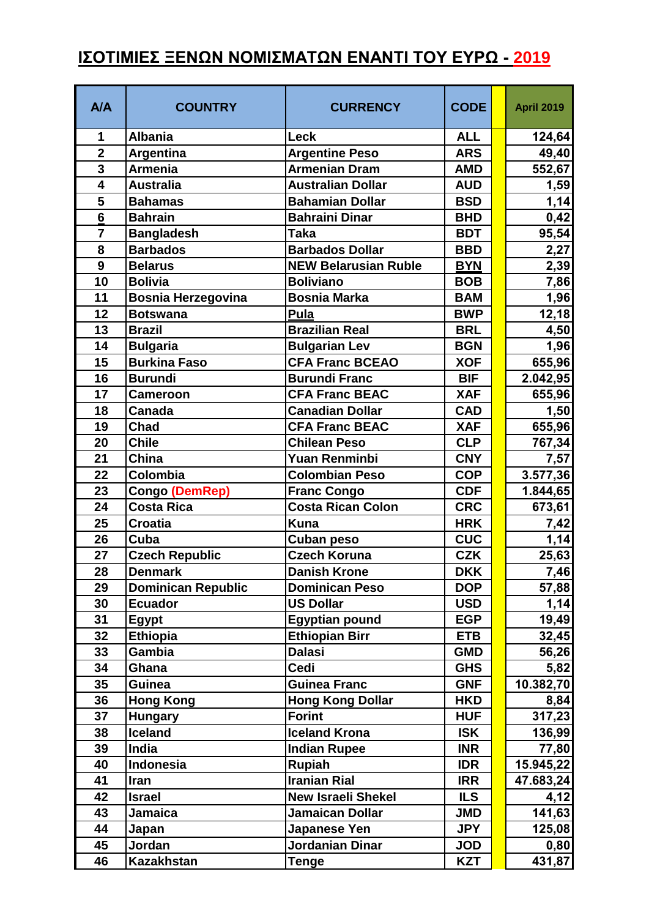## **ΙΣΟΤΙΜΙΕΣ ΞΕΝΩΝ ΝΟΜΙΣΜΑΤΩΝ ΕΝΑΝΤΙ ΤΟΥ ΕΥΡΩ - 2019**

| <b>A/A</b>              | <b>COUNTRY</b>                          | <b>CURRENCY</b>                          | <b>CODE</b>              | <b>April 2019</b> |
|-------------------------|-----------------------------------------|------------------------------------------|--------------------------|-------------------|
| 1                       | <b>Albania</b>                          | <b>Leck</b>                              | <b>ALL</b>               | 124,64            |
| $\overline{\mathbf{2}}$ | <b>Argentina</b>                        | <b>Argentine Peso</b>                    | <b>ARS</b>               | 49,40             |
| 3                       | <b>Armenia</b>                          | <b>Armenian Dram</b>                     | <b>AMD</b>               | 552,67            |
| $\overline{\mathbf{4}}$ | <b>Australia</b>                        | <b>Australian Dollar</b>                 | <b>AUD</b>               | 1,59              |
| 5                       | <b>Bahamas</b>                          | <b>Bahamian Dollar</b>                   | <b>BSD</b>               | 1,14              |
| 6                       | <b>Bahrain</b>                          | <b>Bahraini Dinar</b>                    | <b>BHD</b>               | 0,42              |
| $\overline{7}$          | <b>Bangladesh</b>                       | <b>Taka</b>                              | <b>BDT</b>               | 95,54             |
| 8                       | <b>Barbados</b>                         | <b>Barbados Dollar</b>                   | <b>BBD</b>               | 2,27              |
| 9                       | <b>Belarus</b>                          | <b>NEW Belarusian Ruble</b>              | <b>BYN</b>               | 2,39              |
| 10                      | <b>Bolivia</b>                          | <b>Boliviano</b>                         | <b>BOB</b>               | 7,86              |
| 11                      | <b>Bosnia Herzegovina</b>               | <b>Bosnia Marka</b>                      | <b>BAM</b>               | 1,96              |
| 12                      | <b>Botswana</b>                         | Pula<br><b>Brazilian Real</b>            | <b>BWP</b>               | 12,18             |
| 13                      | <b>Brazil</b>                           |                                          | <b>BRL</b>               | 4,50              |
| 14                      | <b>Bulgaria</b>                         | <b>Bulgarian Lev</b>                     | <b>BGN</b>               | 1,96              |
| 15                      | <b>Burkina Faso</b>                     | <b>CFA Franc BCEAO</b>                   | <b>XOF</b>               | 655,96            |
| 16                      | <b>Burundi</b>                          | <b>Burundi Franc</b>                     | <b>BIF</b>               | 2.042,95          |
| 17                      | <b>Cameroon</b>                         | <b>CFA Franc BEAC</b>                    | <b>XAF</b>               | 655,96            |
| 18                      | <b>Canada</b>                           | <b>Canadian Dollar</b>                   | <b>CAD</b>               | 1,50              |
| 19                      | <b>Chad</b>                             | <b>CFA Franc BEAC</b>                    | <b>XAF</b>               | 655,96            |
| 20                      | <b>Chile</b>                            | <b>Chilean Peso</b>                      | <b>CLP</b>               | 767,34            |
| 21                      | China                                   | <b>Yuan Renminbi</b>                     | <b>CNY</b>               | 7,57              |
| 22                      | Colombia                                | <b>Colombian Peso</b>                    | <b>COP</b>               | 3.577,36          |
| 23                      | Congo (DemRep)                          | <b>Franc Congo</b>                       | <b>CDF</b>               | 1.844,65          |
| 24                      | <b>Costa Rica</b>                       | <b>Costa Rican Colon</b><br><b>Kuna</b>  | <b>CRC</b>               | 673,61            |
| 25<br>26                | <b>Croatia</b><br>Cuba                  |                                          | <b>HRK</b><br><b>CUC</b> | 7,42              |
| 27                      |                                         | <b>Cuban peso</b><br><b>Czech Koruna</b> | <b>CZK</b>               | 1,14              |
| 28                      | <b>Czech Republic</b><br><b>Denmark</b> | <b>Danish Krone</b>                      | <b>DKK</b>               | 25,63<br>7,46     |
| 29                      | <b>Dominican Republic</b>               | <b>Dominican Peso</b>                    | <b>DOP</b>               | 57,88             |
| 30                      | <b>Ecuador</b>                          | <b>US Dollar</b>                         | <b>USD</b>               | 1,14              |
| 31                      | <b>Egypt</b>                            | <b>Egyptian pound</b>                    | <b>EGP</b>               | 19,49             |
| 32                      | <b>Ethiopia</b>                         | <b>Ethiopian Birr</b>                    | <b>ETB</b>               | 32,45             |
| 33                      | Gambia                                  | <b>Dalasi</b>                            | <b>GMD</b>               | 56,26             |
| 34                      | Ghana                                   | Cedi                                     | <b>GHS</b>               | 5,82              |
| 35                      | Guinea                                  | <b>Guinea Franc</b>                      | <b>GNF</b>               | 10.382,70         |
| 36                      | <b>Hong Kong</b>                        | <b>Hong Kong Dollar</b>                  | <b>HKD</b>               | 8,84              |
| 37                      | <b>Hungary</b>                          | <b>Forint</b>                            | <b>HUF</b>               | 317,23            |
| 38                      | <b>Iceland</b>                          | <b>Iceland Krona</b>                     | <b>ISK</b>               | 136,99            |
| 39                      | India                                   | <b>Indian Rupee</b>                      | <b>INR</b>               | 77,80             |
| 40                      | <b>Indonesia</b>                        | Rupiah                                   | <b>IDR</b>               | 15.945,22         |
| 41                      | Iran                                    | <b>Iranian Rial</b>                      | <b>IRR</b>               | 47.683,24         |
| 42                      | <b>Israel</b>                           | <b>New Israeli Shekel</b>                | <b>ILS</b>               | 4,12              |
| 43                      | <b>Jamaica</b>                          | <b>Jamaican Dollar</b>                   | <b>JMD</b>               | 141,63            |
| 44                      | Japan                                   | Japanese Yen                             | <b>JPY</b>               | 125,08            |
| 45                      | Jordan                                  | <b>Jordanian Dinar</b>                   | <b>JOD</b>               | 0,80              |
| 46                      | <b>Kazakhstan</b>                       | <b>Tenge</b>                             | <b>KZT</b>               | 431,87            |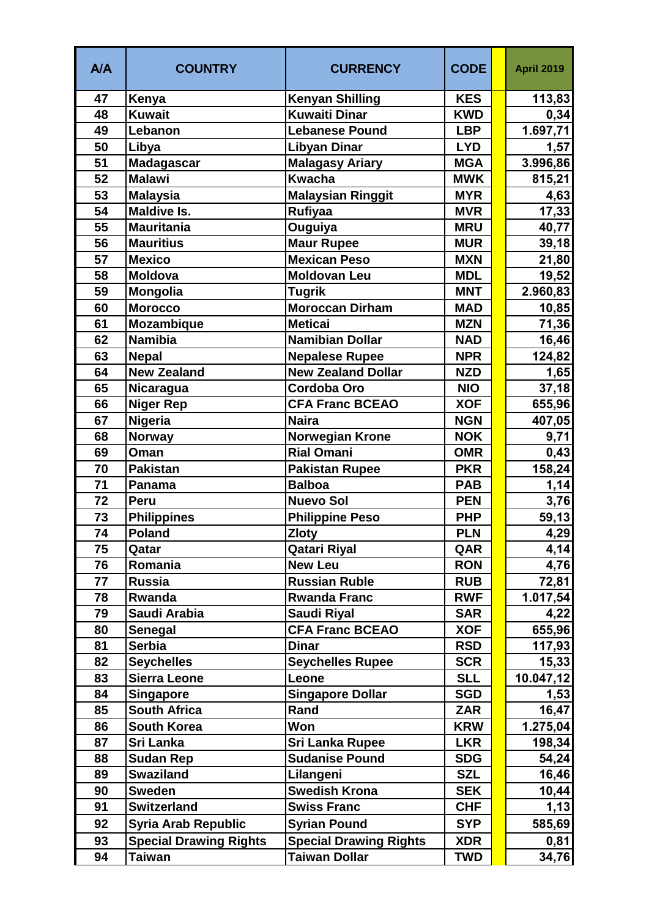| A/A | <b>COUNTRY</b>                | <b>CURRENCY</b>               | <b>CODE</b> | <b>April 2019</b> |
|-----|-------------------------------|-------------------------------|-------------|-------------------|
| 47  | Kenya                         | <b>Kenyan Shilling</b>        | <b>KES</b>  | 113,83            |
| 48  | <b>Kuwait</b>                 | Kuwaiti Dinar                 | <b>KWD</b>  | 0,34              |
| 49  | Lebanon                       | <b>Lebanese Pound</b>         | <b>LBP</b>  | 1.697,71          |
| 50  | Libya                         | <b>Libyan Dinar</b>           | <b>LYD</b>  | 1,57              |
| 51  | <b>Madagascar</b>             | <b>Malagasy Ariary</b>        | <b>MGA</b>  | 3.996,86          |
| 52  | <b>Malawi</b>                 | <b>Kwacha</b>                 | <b>MWK</b>  | 815,21            |
| 53  | <b>Malaysia</b>               | <b>Malaysian Ringgit</b>      | <b>MYR</b>  | 4,63              |
| 54  | <b>Maldive Is.</b>            | Rufiyaa                       | <b>MVR</b>  | 17,33             |
| 55  | <b>Mauritania</b>             | Ouguiya                       | <b>MRU</b>  | 40,77             |
| 56  | <b>Mauritius</b>              | <b>Maur Rupee</b>             | <b>MUR</b>  | 39,18             |
| 57  | <b>Mexico</b>                 | <b>Mexican Peso</b>           | <b>MXN</b>  | 21,80             |
| 58  | <b>Moldova</b>                | <b>Moldovan Leu</b>           | <b>MDL</b>  | 19,52             |
| 59  | Mongolia                      | <b>Tugrik</b>                 | <b>MNT</b>  | 2.960,83          |
| 60  | <b>Morocco</b>                | <b>Moroccan Dirham</b>        | <b>MAD</b>  | 10,85             |
| 61  | <b>Mozambique</b>             | <b>Meticai</b>                | <b>MZN</b>  | 71,36             |
| 62  | <b>Namibia</b>                | <b>Namibian Dollar</b>        | <b>NAD</b>  | 16,46             |
| 63  | <b>Nepal</b>                  | <b>Nepalese Rupee</b>         | <b>NPR</b>  | 124,82            |
| 64  | <b>New Zealand</b>            | <b>New Zealand Dollar</b>     | <b>NZD</b>  | 1,65              |
| 65  | Nicaragua                     | <b>Cordoba Oro</b>            | <b>NIO</b>  | 37,18             |
| 66  | <b>Niger Rep</b>              | <b>CFA Franc BCEAO</b>        | <b>XOF</b>  | 655,96            |
| 67  | Nigeria                       | <b>Naira</b>                  | <b>NGN</b>  | 407,05            |
| 68  | <b>Norway</b>                 | <b>Norwegian Krone</b>        | <b>NOK</b>  | 9,71              |
| 69  | Oman                          | <b>Rial Omani</b>             | <b>OMR</b>  | 0,43              |
| 70  | <b>Pakistan</b>               | <b>Pakistan Rupee</b>         | <b>PKR</b>  | 158,24            |
| 71  | Panama                        | <b>Balboa</b>                 | <b>PAB</b>  | 1,14              |
| 72  | Peru                          | <b>Nuevo Sol</b>              | <b>PEN</b>  | 3,76              |
| 73  | <b>Philippines</b>            | <b>Philippine Peso</b>        | <b>PHP</b>  | 59,13             |
| 74  | <b>Poland</b>                 | <b>Zloty</b>                  | <b>PLN</b>  | 4,29              |
| 75  | Qatar                         | <b>Qatari Riyal</b>           | QAR         | 4,14              |
| 76  | Romania                       | <b>New Leu</b>                | <b>RON</b>  | 4,76              |
| 77  | <b>Russia</b>                 | <b>Russian Ruble</b>          | <b>RUB</b>  | 72,81             |
| 78  | Rwanda                        | <b>Rwanda Franc</b>           | <b>RWF</b>  | 1.017,54          |
| 79  | Saudi Arabia                  | <b>Saudi Riyal</b>            | <b>SAR</b>  | 4,22              |
| 80  | Senegal                       | <b>CFA Franc BCEAO</b>        | <b>XOF</b>  | 655,96            |
| 81  | <b>Serbia</b>                 | <b>Dinar</b>                  | <b>RSD</b>  | 117,93            |
| 82  | <b>Seychelles</b>             | <b>Seychelles Rupee</b>       | <b>SCR</b>  | 15,33             |
| 83  | <b>Sierra Leone</b>           | Leone                         | <b>SLL</b>  | 10.047,12         |
| 84  | <b>Singapore</b>              | <b>Singapore Dollar</b>       | <b>SGD</b>  | 1,53              |
| 85  | <b>South Africa</b>           | Rand                          | <b>ZAR</b>  | 16,47             |
| 86  | <b>South Korea</b>            | Won                           | <b>KRW</b>  | 1.275,04          |
| 87  | Sri Lanka                     | <b>Sri Lanka Rupee</b>        | <b>LKR</b>  | 198,34            |
| 88  | <b>Sudan Rep</b>              | <b>Sudanise Pound</b>         | <b>SDG</b>  | 54,24             |
| 89  | <b>Swaziland</b>              | Lilangeni                     | <b>SZL</b>  | 16,46             |
| 90  | <b>Sweden</b>                 | <b>Swedish Krona</b>          | <b>SEK</b>  | 10,44             |
| 91  | <b>Switzerland</b>            | <b>Swiss Franc</b>            | <b>CHF</b>  | 1,13              |
| 92  | <b>Syria Arab Republic</b>    | <b>Syrian Pound</b>           | <b>SYP</b>  | 585,69            |
| 93  | <b>Special Drawing Rights</b> | <b>Special Drawing Rights</b> | <b>XDR</b>  | 0,81              |
| 94  | <b>Taiwan</b>                 | <b>Taiwan Dollar</b>          | <b>TWD</b>  | 34,76             |